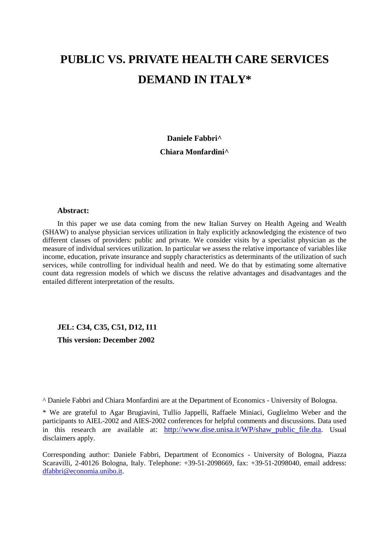# **PUBLIC VS. PRIVATE HEALTH CARE SERVICES DEMAND IN ITALY\***

**Daniele Fabbri^ Chiara Monfardini^**

#### **Abstract:**

In this paper we use data coming from the new Italian Survey on Health Ageing and Wealth (SHAW) to analyse physician services utilization in Italy explicitly acknowledging the existence of two different classes of providers: public and private. We consider visits by a specialist physician as the measure of individual services utilization. In particular we assess the relative importance of variables like income, education, private insurance and supply characteristics as determinants of the utilization of such services, while controlling for individual health and need. We do that by estimating some alternative count data regression models of which we discuss the relative advantages and disadvantages and the entailed different interpretation of the results.

**JEL: C34, C35, C51, D12, I11**

**This version: December 2002**

^ Daniele Fabbri and Chiara Monfardini are at the Department of Economics - University of Bologna.

\* We are grateful to Agar Brugiavini, Tullio Jappelli, Raffaele Miniaci, Guglielmo Weber and the participants to AIEL-2002 and AIES-2002 conferences for helpful comments and discussions. Data used in this research are available at: http://www.dise.unisa.it/WP/shaw public file.dta. Usual disclaimers apply.

Corresponding author: Daniele Fabbri, Department of Economics - University of Bologna, Piazza Scaravilli, 2-40126 Bologna, Italy. Telephone: +39-51-2098669, fax: +39-51-2098040, email address: dfabbri@economia.unibo.it.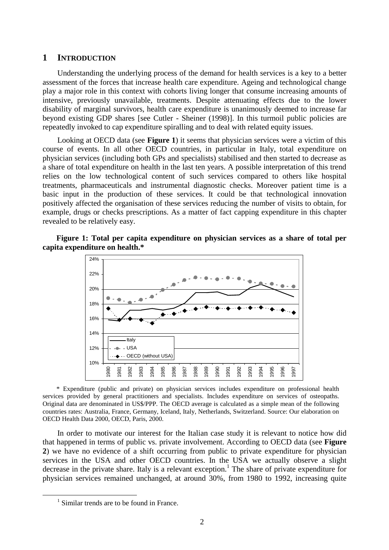#### **1 INTRODUCTION**

Understanding the underlying process of the demand for health services is a key to a better assessment of the forces that increase health care expenditure. Ageing and technological change play a major role in this context with cohorts living longer that consume increasing amounts of intensive, previously unavailable, treatments. Despite attenuating effects due to the lower disability of marginal survivors, health care expenditure is unanimously deemed to increase far beyond existing GDP shares [see Cutler - Sheiner (1998)]. In this turmoil public policies are repeatedly invoked to cap expenditure spiralling and to deal with related equity issues.

Looking at OECD data (see **Figure 1**) it seems that physician services were a victim of this course of events. In all other OECD countries, in particular in Italy, total expenditure on physician services (including both GPs and specialists) stabilised and then started to decrease as a share of total expenditure on health in the last ten years. A possible interpretation of this trend relies on the low technological content of such services compared to others like hospital treatments, pharmaceuticals and instrumental diagnostic checks. Moreover patient time is a basic input in the production of these services. It could be that technological innovation positively affected the organisation of these services reducing the number of visits to obtain, for example, drugs or checks prescriptions. As a matter of fact capping expenditure in this chapter revealed to be relatively easy.





\* Expenditure (public and private) on physician services includes expenditure on professional health services provided by general practitioners and specialists. Includes expenditure on services of osteopaths. Original data are denominated in US\$/PPP. The OECD average is calculated as a simple mean of the following countries rates: Australia, France, Germany, Iceland, Italy, Netherlands, Switzerland. Source: Our elaboration on OECD Health Data 2000, OECD, Paris, 2000.

In order to motivate our interest for the Italian case study it is relevant to notice how did that happened in terms of public vs. private involvement. According to OECD data (see **Figure 2**) we have no evidence of a shift occurring from public to private expenditure for physician services in the USA and other OECD countries. In the USA we actually observe a slight decrease in the private share. Italy is a relevant exception.<sup>1</sup> The share of private expenditure for physician services remained unchanged, at around 30%, from 1980 to 1992, increasing quite

 $\overline{a}$ 

<sup>&</sup>lt;sup>1</sup> Similar trends are to be found in France.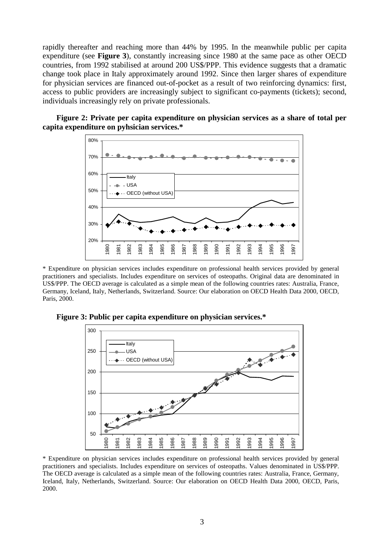rapidly thereafter and reaching more than 44% by 1995. In the meanwhile public per capita expenditure (see **Figure 3**), constantly increasing since 1980 at the same pace as other OECD countries, from 1992 stabilised at around 200 US\$/PPP. This evidence suggests that a dramatic change took place in Italy approximately around 1992. Since then larger shares of expenditure for physician services are financed out-of-pocket as a result of two reinforcing dynamics: first, access to public providers are increasingly subject to significant co-payments (tickets); second, individuals increasingly rely on private professionals.

**Figure 2: Private per capita expenditure on physician services as a share of total per capita expenditure on pyhsician services.\*** 



\* Expenditure on physician services includes expenditure on professional health services provided by general practitioners and specialists. Includes expenditure on services of osteopaths. Original data are denominated in US\$/PPP. The OECD average is calculated as a simple mean of the following countries rates: Australia, France, Germany, Iceland, Italy, Netherlands, Switzerland. Source: Our elaboration on OECD Health Data 2000, OECD, Paris, 2000.

**Figure 3: Public per capita expenditure on physician services.\*** 



\* Expenditure on physician services includes expenditure on professional health services provided by general practitioners and specialists. Includes expenditure on services of osteopaths. Values denominated in US\$/PPP. The OECD average is calculated as a simple mean of the following countries rates: Australia, France, Germany, Iceland, Italy, Netherlands, Switzerland. Source: Our elaboration on OECD Health Data 2000, OECD, Paris, 2000.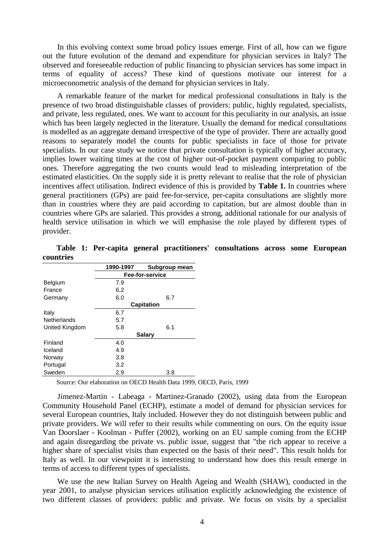In this evolving context some broad policy issues emerge. First of all, how can we figure out the future evolution of the demand and expenditure for physician services in Italy? The observed and foreseeable reduction of public financing to physician services has some impact in terms of equality of access? These kind of questions motivate our interest for a microeconometric analysis of the demand for physician services in Italy.

A remarkable feature of the market for medical professional consultations in Italy is the presence of two broad distinguishable classes of providers: public, highly regulated, specialists, and private, less regulated, ones. We want to account for this peculiarity in our analysis, an issue which has been largely neglected in the literature. Usually the demand for medical consultations is modelled as an aggregate demand irrespective of the type of provider. There are actually good reasons to separately model the counts for public specialists in face of those for private specialists. In our case study we notice that private consultation is typically of higher accuracy, implies lower waiting times at the cost of higher out-of-pocket payment comparing to public ones. Therefore aggregating the two counts would lead to misleading interpretation of the estimated elasticities. On the supply side it is pretty relevant to realise that the role of physician incentives affect utilisation. Indirect evidence of this is provided by **Table 1.** In countries where general practitioners (GPs) are paid fee-for-service, per-capita consultations are slightly more than in countries where they are paid according to capitation, but are almost double than in countries where GPs are salaried. This provides a strong, additional rationale for our analysis of health service utilisation in which we will emphasise the role played by different types of provider.

|                    | 1990-1997         | Subgroup mean |  |  |  |
|--------------------|-------------------|---------------|--|--|--|
|                    | Fee-for-service   |               |  |  |  |
| <b>Belgium</b>     | 7.9               |               |  |  |  |
| France             | 6.2               |               |  |  |  |
| Germany            | 6.0               | 6.7           |  |  |  |
|                    | <b>Capitation</b> |               |  |  |  |
| Italy              | 6.7               |               |  |  |  |
| <b>Netherlands</b> | 5.7               |               |  |  |  |
| United Kingdom     | 5.8               | 6.1           |  |  |  |
|                    |                   | <b>Salary</b> |  |  |  |
| Finland            | 4.0               |               |  |  |  |
| Iceland            | 4.9               |               |  |  |  |
| Norway             | 3.8               |               |  |  |  |
| Portugal           | 3.2               |               |  |  |  |
| Sweden             | 2.9               | 3.8           |  |  |  |

**Table 1: Per-capita general practitioners' consultations across some European countries**

Source: Our elaboration on OECD Health Data 1999, OECD, Paris, 1999

Jimenez-Martin - Labeaga - Martinez-Granado (2002), using data from the European Community Household Panel (ECHP), estimate a model of demand for physician services for several European countries, Italy included. However they do not distinguish between public and private providers. We will refer to their results while commenting on ours. On the equity issue Van Doorslaer - Koolman - Puffer (2002), working on an EU sample coming from the ECHP and again disregarding the private vs. public issue, suggest that "the rich appear to receive a higher share of specialist visits than expected on the basis of their need". This result holds for Italy as well. In our viewpoint it is interesting to understand how does this result emerge in terms of access to different types of specialists.

We use the new Italian Survey on Health Ageing and Wealth (SHAW), conducted in the year 2001, to analyse physician services utilisation explicitly acknowledging the existence of two different classes of providers: public and private. We focus on visits by a specialist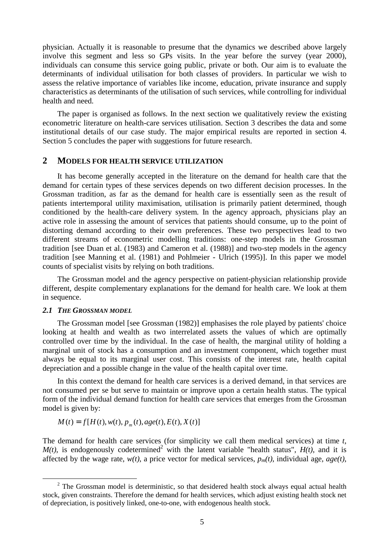physician. Actually it is reasonable to presume that the dynamics we described above largely involve this segment and less so GPs visits. In the year before the survey (year 2000), individuals can consume this service going public, private or both. Our aim is to evaluate the determinants of individual utilisation for both classes of providers. In particular we wish to assess the relative importance of variables like income, education, private insurance and supply characteristics as determinants of the utilisation of such services, while controlling for individual health and need.

The paper is organised as follows. In the next section we qualitatively review the existing econometric literature on health-care services utilisation. Section 3 describes the data and some institutional details of our case study. The major empirical results are reported in section 4. Section 5 concludes the paper with suggestions for future research.

# **2 MODELS FOR HEALTH SERVICE UTILIZATION**

It has become generally accepted in the literature on the demand for health care that the demand for certain types of these services depends on two different decision processes. In the Grossman tradition, as far as the demand for health care is essentially seen as the result of patients intertemporal utility maximisation, utilisation is primarily patient determined, though conditioned by the health-care delivery system. In the agency approach, physicians play an active role in assessing the amount of services that patients should consume, up to the point of distorting demand according to their own preferences. These two perspectives lead to two different streams of econometric modelling traditions: one-step models in the Grossman tradition [see Duan et al. (1983) and Cameron et al. (1988)] and two-step models in the agency tradition [see Manning et al. (1981) and Pohlmeier - Ulrich (1995)]. In this paper we model counts of specialist visits by relying on both traditions.

The Grossman model and the agency perspective on patient-physician relationship provide different, despite complementary explanations for the demand for health care. We look at them in sequence.

#### *2.1 THE GROSSMAN MODEL*

 $\overline{a}$ 

The Grossman model [see Grossman (1982)] emphasises the role played by patients' choice looking at health and wealth as two interrelated assets the values of which are optimally controlled over time by the individual. In the case of health, the marginal utility of holding a marginal unit of stock has a consumption and an investment component, which together must always be equal to its marginal user cost. This consists of the interest rate, health capital depreciation and a possible change in the value of the health capital over time.

In this context the demand for health care services is a derived demand, in that services are not consumed per se but serve to maintain or improve upon a certain health status. The typical form of the individual demand function for health care services that emerges from the Grossman model is given by:

$$
M(t) = f[H(t), w(t), p_m(t), age(t), E(t), X(t)]
$$

The demand for health care services (for simplicity we call them medical services) at time *t*,  $M(t)$ , is endogenously codetermined<sup>2</sup> with the latent variable "health status",  $H(t)$ , and it is affected by the wage rate,  $w(t)$ , a price vector for medical services,  $p_m(t)$ , individual age,  $age(t)$ ,

 $2^2$  The Grossman model is deterministic, so that desidered health stock always equal actual health stock, given constraints. Therefore the demand for health services, which adjust existing health stock net of depreciation, is positively linked, one-to-one, with endogenous health stock.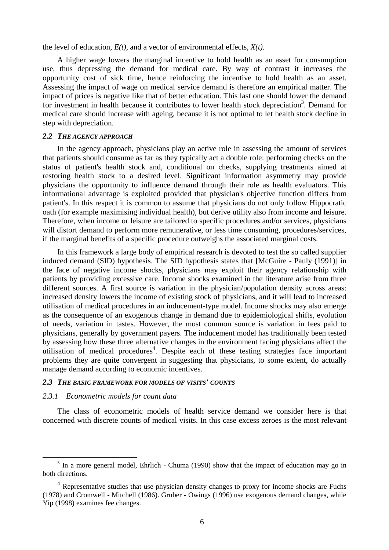the level of education, *E(t)*, and a vector of environmental effects, *X(t)*.

A higher wage lowers the marginal incentive to hold health as an asset for consumption use, thus depressing the demand for medical care. By way of contrast it increases the opportunity cost of sick time, hence reinforcing the incentive to hold health as an asset. Assessing the impact of wage on medical service demand is therefore an empirical matter. The impact of prices is negative like that of better education. This last one should lower the demand for investment in health because it contributes to lower health stock depreciation<sup>3</sup>. Demand for medical care should increase with ageing, because it is not optimal to let health stock decline in step with depreciation.

#### *2.2 THE AGENCY APPROACH*

In the agency approach, physicians play an active role in assessing the amount of services that patients should consume as far as they typically act a double role: performing checks on the status of patient's health stock and, conditional on checks, supplying treatments aimed at restoring health stock to a desired level. Significant information asymmetry may provide physicians the opportunity to influence demand through their role as health evaluators. This informational advantage is exploited provided that physician's objective function differs from patient's. In this respect it is common to assume that physicians do not only follow Hippocratic oath (for example maximising individual health), but derive utility also from income and leisure. Therefore, when income or leisure are tailored to specific procedures and/or services, physicians will distort demand to perform more remunerative, or less time consuming, procedures/services, if the marginal benefits of a specific procedure outweighs the associated marginal costs.

In this framework a large body of empirical research is devoted to test the so called supplier induced demand (SID) hypothesis. The SID hypothesis states that [McGuire - Pauly (1991)] in the face of negative income shocks, physicians may exploit their agency relationship with patients by providing excessive care. Income shocks examined in the literature arise from three different sources. A first source is variation in the physician/population density across areas: increased density lowers the income of existing stock of physicians, and it will lead to increased utilisation of medical procedures in an inducement-type model. Income shocks may also emerge as the consequence of an exogenous change in demand due to epidemiological shifts, evolution of needs, variation in tastes. However, the most common source is variation in fees paid to physicians, generally by government payers. The inducement model has traditionally been tested by assessing how these three alternative changes in the environment facing physicians affect the utilisation of medical procedures<sup>4</sup>. Despite each of these testing strategies face important problems they are quite convergent in suggesting that physicians, to some extent, do actually manage demand according to economic incentives.

# *2.3 THE BASIC FRAMEWORK FOR MODELS OF VISITS' COUNTS*

#### *2.3.1 Econometric models for count data*

 $\overline{a}$ 

The class of econometric models of health service demand we consider here is that concerned with discrete counts of medical visits. In this case excess zeroes is the most relevant

 $3$  In a more general model, Ehrlich - Chuma (1990) show that the impact of education may go in both directions.

<sup>&</sup>lt;sup>4</sup> Representative studies that use physician density changes to proxy for income shocks are Fuchs (1978) and Cromwell - Mitchell (1986). Gruber - Owings (1996) use exogenous demand changes, while Yip (1998) examines fee changes.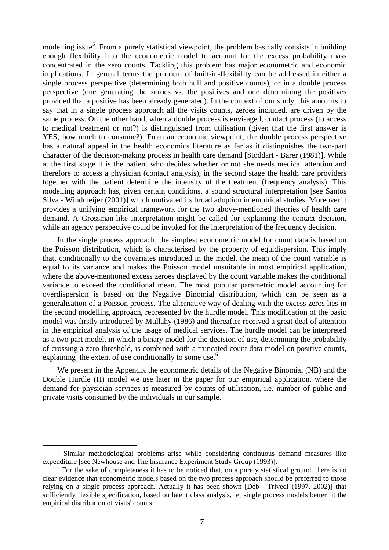modelling issue<sup>5</sup>. From a purely statistical viewpoint, the problem basically consists in building enough flexibility into the econometric model to account for the excess probability mass concentrated in the zero counts. Tackling this problem has major econometric and economic implications. In general terms the problem of built-in-flexibility can be addressed in either a single process perspective (determining both null and positive counts), or in a double process perspective (one generating the zeroes vs. the positives and one determining the positives provided that a positive has been already generated). In the context of our study, this amounts to say that in a single process approach all the visits counts, zeroes included, are driven by the same process. On the other hand, when a double process is envisaged, contact process (to access to medical treatment or not?) is distinguished from utilisation (given that the first answer is YES, how much to consume?). From an economic viewpoint, the double process perspective has a natural appeal in the health economics literature as far as it distinguishes the two-part character of the decision-making process in health care demand [Stoddart - Barer (1981)]. While at the first stage it is the patient who decides whether or not she needs medical attention and therefore to access a physician (contact analysis), in the second stage the health care providers together with the patient determine the intensity of the treatment (frequency analysis). This modelling approach has, given certain conditions, a sound structural interpretation [see Santos Silva - Windmeijer (2001)] which motivated its broad adoption in empirical studies. Moreover it provides a unifying empirical framework for the two above-mentioned theories of health care demand. A Grossman-like interpretation might be called for explaining the contact decision, while an agency perspective could be invoked for the interpretation of the frequency decision.

In the single process approach, the simplest econometric model for count data is based on the Poisson distribution, which is characterised by the property of equidispersion. This imply that, conditionally to the covariates introduced in the model, the mean of the count variable is equal to its variance and makes the Poisson model unsuitable in most empirical application, where the above-mentioned excess zeroes displayed by the count variable makes the conditional variance to exceed the conditional mean. The most popular parametric model accounting for overdispersion is based on the Negative Binomial distribution, which can be seen as a generalisation of a Poisson process. The alternative way of dealing with the excess zeros lies in the second modelling approach, represented by the hurdle model. This modification of the basic model was firstly introduced by Mullahy (1986) and thereafter received a great deal of attention in the empirical analysis of the usage of medical services. The hurdle model can be interpreted as a two part model, in which a binary model for the decision of use, determining the probability of crossing a zero threshold, is combined with a truncated count data model on positive counts, explaining the extent of use conditionally to some use.<sup>6</sup>

We present in the Appendix the econometric details of the Negative Binomial (NB) and the Double Hurdle (H) model we use later in the paper for our empirical application, where the demand for physician services is measured by counts of utilisation, i.e. number of public and private visits consumed by the individuals in our sample.

 $\overline{a}$ 

<sup>&</sup>lt;sup>5</sup> Similar methodological problems arise while considering continuous demand measures like expenditure [see Newhouse and The Insurance Experiment Study Group (1993)].

<sup>&</sup>lt;sup>6</sup> For the sake of completeness it has to be noticed that, on a purely statistical ground, there is no clear evidence that econometric models based on the two process approach should be preferred to those relying on a single process approach. Actually it has been shown [Deb - Trivedi (1997, 2002)] that sufficiently flexible specification, based on latent class analysis, let single process models better fit the empirical distribution of visits' counts.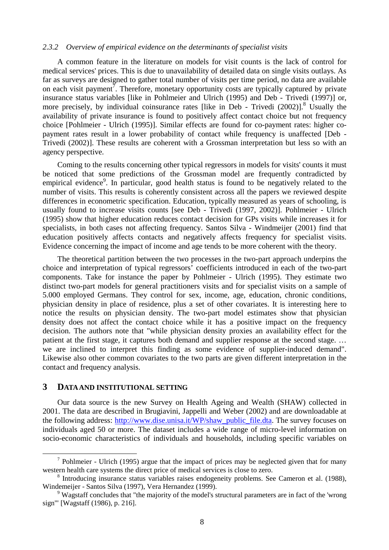#### *2.3.2 Overview of empirical evidence on the determinants of specialist visits*

A common feature in the literature on models for visit counts is the lack of control for medical services' prices. This is due to unavailability of detailed data on single visits outlays. As far as surveys are designed to gather total number of visits per time period, no data are available on each visit payment<sup>7</sup>. Therefore, monetary opportunity costs are typically captured by private insurance status variables [like in Pohlmeier and Ulrich (1995) and Deb - Trivedi (1997)] or, more precisely, by individual coinsurance rates [like in Deb - Trivedi (2002)].<sup>8</sup> Usually the availability of private insurance is found to positively affect contact choice but not frequency choice [Pohlmeier - Ulrich (1995)]. Similar effects are found for co-payment rates: higher copayment rates result in a lower probability of contact while frequency is unaffected [Deb - Trivedi (2002)]. These results are coherent with a Grossman interpretation but less so with an agency perspective.

Coming to the results concerning other typical regressors in models for visits' counts it must be noticed that some predictions of the Grossman model are frequently contradicted by empirical evidence<sup>9</sup>. In particular, good health status is found to be negatively related to the number of visits. This results is coherently consistent across all the papers we reviewed despite differences in econometric specification. Education, typically measured as years of schooling, is usually found to increase visits counts [see Deb - Trivedi (1997, 2002)]. Pohlmeier - Ulrich (1995) show that higher education reduces contact decision for GPs visits while increases it for specialists, in both cases not affecting frequency. Santos Silva - Windmeijer (2001) find that education positively affects contacts and negatively affects frequency for specialist visits. Evidence concerning the impact of income and age tends to be more coherent with the theory.

The theoretical partition between the two processes in the two-part approach underpins the choice and interpretation of typical regressors' coefficients introduced in each of the two-part components. Take for instance the paper by Pohlmeier - Ulrich (1995). They estimate two distinct two-part models for general practitioners visits and for specialist visits on a sample of 5.000 employed Germans. They control for sex, income, age, education, chronic conditions, physician density in place of residence, plus a set of other covariates. It is interesting here to notice the results on physician density. The two-part model estimates show that physician density does not affect the contact choice while it has a positive impact on the frequency decision. The authors note that "while physician density proxies an availability effect for the patient at the first stage, it captures both demand and supplier response at the second stage. … we are inclined to interpret this finding as some evidence of supplier-induced demand". Likewise also other common covariates to the two parts are given different interpretation in the contact and frequency analysis.

#### **3 DATA AND INSTITUTIONAL SETTING**

 $\overline{a}$ 

Our data source is the new Survey on Health Ageing and Wealth (SHAW) collected in 2001. The data are described in Brugiavini, Jappelli and Weber (2002) and are downloadable at the following address: http://www.dise.unisa.it/WP/shaw\_public\_file.dta. The survey focuses on individuals aged 50 or more. The dataset includes a wide range of micro-level information on socio-economic characteristics of individuals and households, including specific variables on

 $<sup>7</sup>$  Pohlmeier - Ulrich (1995) argue that the impact of prices may be neglected given that for many</sup> western health care systems the direct price of medical services is close to zero.

<sup>&</sup>lt;sup>8</sup> Introducing insurance status variables raises endogeneity problems. See Cameron et al. (1988), Windemeijer - Santos Silva (1997), Vera Hernandez (1999).

<sup>&</sup>lt;sup>9</sup> Wagstaff concludes that "the majority of the model's structural parameters are in fact of the 'wrong sign'" [Wagstaff (1986), p. 216].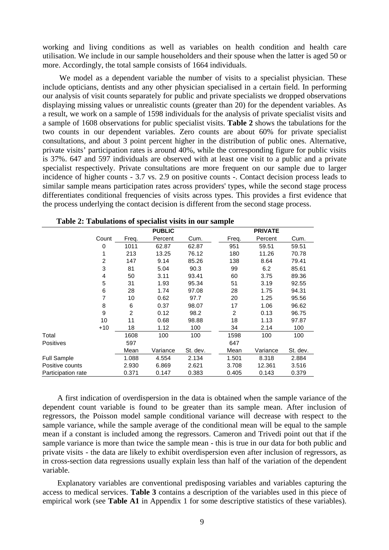working and living conditions as well as variables on health condition and health care utilisation. We include in our sample householders and their spouse when the latter is aged 50 or more. Accordingly, the total sample consists of 1664 individuals.

We model as a dependent variable the number of visits to a specialist physician. These include opticians, dentists and any other physician specialised in a certain field. In performing our analysis of visit counts separately for public and private specialists we dropped observations displaying missing values or unrealistic counts (greater than 20) for the dependent variables. As a result, we work on a sample of 1598 individuals for the analysis of private specialist visits and a sample of 1608 observations for public specialist visits. **Table 2** shows the tabulations for the two counts in our dependent variables. Zero counts are about 60% for private specialist consultations, and about 3 point percent higher in the distribution of public ones. Alternative, private visits' participation rates is around 40%, while the corresponding figure for public visits is 37%. 647 and 597 individuals are observed with at least one visit to a public and a private specialist respectively. Private consultations are more frequent on our sample due to larger incidence of higher counts - 3.7 vs. 2.9 on positive counts -. Contact decision process leads to similar sample means participation rates across providers' types, while the second stage process differentiates conditional frequencies of visits across types. This provides a first evidence that the process underlying the contact decision is different from the second stage process.

|                    |       |                | <b>PUBLIC</b> |          |       | <b>PRIVATE</b> |          |
|--------------------|-------|----------------|---------------|----------|-------|----------------|----------|
|                    | Count | Freq.          | Percent       | Cum.     | Freq. | Percent        | Cum.     |
|                    | 0     | 1011           | 62.87         | 62.87    | 951   | 59.51          | 59.51    |
|                    |       | 213            | 13.25         | 76.12    | 180   | 11.26          | 70.78    |
|                    | 2     | 147            | 9.14          | 85.26    | 138   | 8.64           | 79.41    |
|                    | 3     | 81             | 5.04          | 90.3     | 99    | 6.2            | 85.61    |
|                    | 4     | 50             | 3.11          | 93.41    | 60    | 3.75           | 89.36    |
|                    | 5     | 31             | 1.93          | 95.34    | 51    | 3.19           | 92.55    |
|                    | 6     | 28             | 1.74          | 97.08    | 28    | 1.75           | 94.31    |
|                    | 7     | 10             | 0.62          | 97.7     | 20    | 1.25           | 95.56    |
|                    | 8     | 6              | 0.37          | 98.07    | 17    | 1.06           | 96.62    |
|                    | 9     | $\overline{2}$ | 0.12          | 98.2     | 2     | 0.13           | 96.75    |
|                    | 10    | 11             | 0.68          | 98.88    | 18    | 1.13           | 97.87    |
|                    | $+10$ | 18             | 1.12          | 100      | 34    | 2.14           | 100      |
| Total              |       | 1608           | 100           | 100      | 1598  | 100            | 100      |
| <b>Positives</b>   |       | 597            |               |          | 647   |                |          |
|                    |       | Mean           | Variance      | St. dev. | Mean  | Variance       | St. dev. |
| <b>Full Sample</b> |       | 1.088          | 4.554         | 2.134    | 1.501 | 8.318          | 2.884    |
| Positive counts    |       | 2.930          | 6.869         | 2.621    | 3.708 | 12.361         | 3.516    |
| Participation rate |       | 0.371          | 0.147         | 0.383    | 0.405 | 0.143          | 0.379    |

| Table 2: Tabulations of specialist visits in our sample |  |  |  |
|---------------------------------------------------------|--|--|--|
|---------------------------------------------------------|--|--|--|

A first indication of overdispersion in the data is obtained when the sample variance of the dependent count variable is found to be greater than its sample mean. After inclusion of regressors, the Poisson model sample conditional variance will decrease with respect to the sample variance, while the sample average of the conditional mean will be equal to the sample mean if a constant is included among the regressors. Cameron and Trivedi point out that if the sample variance is more than twice the sample mean - this is true in our data for both public and private visits - the data are likely to exhibit overdispersion even after inclusion of regressors, as in cross-section data regressions usually explain less than half of the variation of the dependent variable.

Explanatory variables are conventional predisposing variables and variables capturing the access to medical services. **Table 3** contains a description of the variables used in this piece of empirical work (see **Table A1** in Appendix 1 for some descriptive statistics of these variables).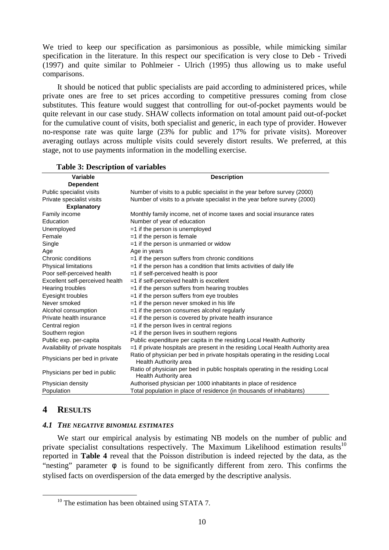We tried to keep our specification as parsimonious as possible, while mimicking similar specification in the literature. In this respect our specification is very close to Deb - Trivedi (1997) and quite similar to Pohlmeier - Ulrich (1995) thus allowing us to make useful comparisons.

It should be noticed that public specialists are paid according to administered prices, while private ones are free to set prices according to competitive pressures coming from close substitutes. This feature would suggest that controlling for out-of-pocket payments would be quite relevant in our case study. SHAW collects information on total amount paid out-of-pocket for the cumulative count of visits, both specialist and generic, in each type of provider. However no-response rate was quite large (23% for public and 17% for private visits). Moreover averaging outlays across multiple visits could severely distort results. We preferred, at this stage, not to use payments information in the modelling exercise.

| Variable                                        | <b>Description</b>                                                                                             |  |  |  |  |  |
|-------------------------------------------------|----------------------------------------------------------------------------------------------------------------|--|--|--|--|--|
| <b>Dependent</b>                                |                                                                                                                |  |  |  |  |  |
| Public specialist visits                        | Number of visits to a public specialist in the year before survey (2000)                                       |  |  |  |  |  |
| Private specialist visits<br><b>Explanatory</b> | Number of visits to a private specialist in the year before survey (2000)                                      |  |  |  |  |  |
| Family income                                   | Monthly family income, net of income taxes and social insurance rates                                          |  |  |  |  |  |
| Education                                       | Number of year of education                                                                                    |  |  |  |  |  |
| Unemployed                                      | $=$ 1 if the person is unemployed                                                                              |  |  |  |  |  |
| Female                                          | $=1$ if the person is female                                                                                   |  |  |  |  |  |
| Single                                          | =1 if the person is unmarried or widow                                                                         |  |  |  |  |  |
| Age                                             | Age in years                                                                                                   |  |  |  |  |  |
| Chronic conditions                              | =1 if the person suffers from chronic conditions                                                               |  |  |  |  |  |
| Physical limitations                            | $=$ 1 if the person has a condition that limits activities of daily life                                       |  |  |  |  |  |
| Poor self-perceived health                      | =1 if self-perceived health is poor                                                                            |  |  |  |  |  |
| Excellent self-perceived health                 | =1 if self-perceived health is excellent                                                                       |  |  |  |  |  |
| Hearing troubles                                | $=$ 1 if the person suffers from hearing troubles                                                              |  |  |  |  |  |
| Eyesight troubles                               | =1 if the person suffers from eye troubles                                                                     |  |  |  |  |  |
| Never smoked                                    | $=$ 1 if the person never smoked in his life                                                                   |  |  |  |  |  |
| Alcohol consumption                             | =1 if the person consumes alcohol regularly                                                                    |  |  |  |  |  |
| Private health insurance                        | =1 if the person is covered by private health insurance                                                        |  |  |  |  |  |
| Central region                                  | $=$ 1 if the person lives in central regions                                                                   |  |  |  |  |  |
| Southern region                                 | $=$ 1 if the person lives in southern regions                                                                  |  |  |  |  |  |
| Public exp. per-capita                          | Public expenditure per capita in the residing Local Health Authority                                           |  |  |  |  |  |
| Availability of private hospitals               | =1 if private hospitals are present in the residing Local Health Authority area                                |  |  |  |  |  |
| Physicians per bed in private                   | Ratio of physician per bed in private hospitals operating in the residing Local<br>Health Authority area       |  |  |  |  |  |
| Physicians per bed in public                    | Ratio of physician per bed in public hospitals operating in the residing Local<br><b>Health Authority area</b> |  |  |  |  |  |
| Physician density                               | Authorised physician per 1000 inhabitants in place of residence                                                |  |  |  |  |  |
| Population                                      | Total population in place of residence (in thousands of inhabitants)                                           |  |  |  |  |  |

## **Table 3: Description of variables**

# **4 RESULTS**

 $\overline{a}$ 

#### *4.1 THE NEGATIVE BINOMIAL ESTIMATES*

We start our empirical analysis by estimating NB models on the number of public and private specialist consultations respectively. The Maximum Likelihood estimation results<sup>10</sup> reported in **Table 4** reveal that the Poisson distribution is indeed rejected by the data, as the "nesting" parameter *f* is found to be significantly different from zero. This confirms the stylised facts on overdispersion of the data emerged by the descriptive analysis.

<sup>&</sup>lt;sup>10</sup> The estimation has been obtained using STATA 7.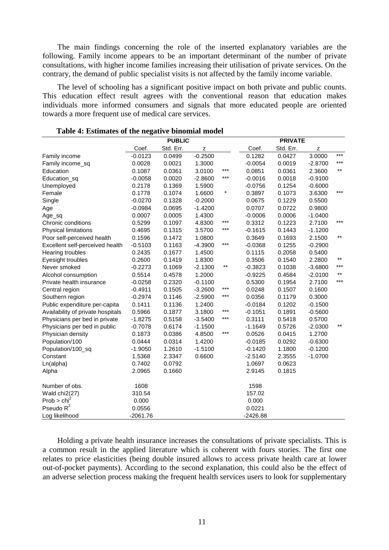The main findings concerning the role of the inserted explanatory variables are the following. Family income appears to be an important determinant of the number of private consultations, with higher income families increasing their utilisation of private services. On the contrary, the demand of public specialist visits is not affected by the family income variable.

The level of schooling has a significant positive impact on both private and public counts. This education effect result agrees with the conventional reason that education makes individuals more informed consumers and signals that more educated people are oriented towards a more frequent use of medical care services.

|                                   | <b>PUBLIC</b> |           |             |         | <b>PRIVATE</b> |           |             |                 |
|-----------------------------------|---------------|-----------|-------------|---------|----------------|-----------|-------------|-----------------|
|                                   | Coef.         | Std. Err. | $\mathsf z$ |         | Coef.          | Std. Err. | $\mathsf z$ |                 |
| Family income                     | $-0.0123$     | 0.0499    | $-0.2500$   |         | 0.1282         | 0.0427    | 3.0000      | $***$           |
| Family income_sq                  | 0.0028        | 0.0021    | 1.3000      |         | $-0.0054$      | 0.0019    | $-2.8700$   | $***$           |
| Education                         | 0.1087        | 0.0361    | 3.0100      | ***     | 0.0851         | 0.0361    | 2.3600      | $***$           |
| Education_sq                      | $-0.0058$     | 0.0020    | $-2.8600$   | ***     | $-0.0016$      | 0.0018    | $-0.9100$   |                 |
| Unemployed                        | 0.2178        | 0.1369    | 1.5900      |         | $-0.0756$      | 0.1254    | $-0.6000$   |                 |
| Female                            | 0.1778        | 0.1074    | 1.6600      | $\star$ | 0.3897         | 0.1073    | 3.6300      | $***$           |
| Single                            | $-0.0270$     | 0.1328    | $-0.2000$   |         | 0.0675         | 0.1229    | 0.5500      |                 |
| Age                               | $-0.0984$     | 0.0695    | $-1.4200$   |         | 0.0707         | 0.0722    | 0.9800      |                 |
| Age_sq                            | 0.0007        | 0.0005    | 1.4300      |         | $-0.0006$      | 0.0006    | $-1.0400$   |                 |
| Chronic conditions                | 0.5299        | 0.1097    | 4.8300      | ***     | 0.3312         | 0.1223    | 2.7100      | $***$           |
| Physical limitations              | 0.4695        | 0.1315    | 3.5700      | ***     | $-0.1615$      | 0.1443    | $-1.1200$   |                 |
| Poor self-perceived health        | 0.1596        | 0.1472    | 1.0800      |         | 0.3649         | 0.1693    | 2.1500      | $***$           |
| Excellent self-perceived health   | $-0.5103$     | 0.1163    | $-4.3900$   | ***     | $-0.0368$      | 0.1255    | $-0.2900$   |                 |
| Hearing troubles                  | 0.2435        | 0.1677    | 1.4500      |         | 0.1115         | 0.2058    | 0.5400      |                 |
| Eyesight troubles                 | 0.2600        | 0.1419    | 1.8300      |         | 0.3506         | 0.1540    | 2.2800      | $^{\star\star}$ |
| Never smoked                      | $-0.2273$     | 0.1069    | $-2.1300$   | $***$   | $-0.3823$      | 0.1038    | $-3.6800$   | ***             |
| Alcohol consumption               | 0.5514        | 0.4578    | 1.2000      |         | $-0.9225$      | 0.4584    | $-2.0100$   | $***$           |
| Private health insurance          | $-0.0258$     | 0.2320    | $-0.1100$   |         | 0.5300         | 0.1954    | 2.7100      | $***$           |
| Central region                    | $-0.4911$     | 0.1505    | $-3.2600$   | ***     | 0.0248         | 0.1507    | 0.1600      |                 |
| Southern region                   | $-0.2974$     | 0.1146    | $-2.5900$   | ***     | 0.0356         | 0.1179    | 0.3000      |                 |
| Public expenditure per-capita     | 0.1411        | 0.1136    | 1.2400      |         | $-0.0184$      | 0.1202    | $-0.1500$   |                 |
| Availability of private hospitals | 0.5966        | 0.1877    | 3.1800      | ***     | $-0.1051$      | 0.1891    | $-0.5600$   |                 |
| Physicians per bed in private     | $-1.8275$     | 0.5158    | $-3.5400$   | $***$   | 0.3111         | 0.5418    | 0.5700      |                 |
| Physicians per bed in public      | $-0.7078$     | 0.6174    | $-1.1500$   |         | $-1.1649$      | 0.5726    | $-2.0300$   | $***$           |
| Physician density                 | 0.1873        | 0.0386    | 4.8500      | $***$   | 0.0526         | 0.0415    | 1.2700      |                 |
| Population/100                    | 0.0444        | 0.0314    | 1.4200      |         | $-0.0185$      | 0.0292    | $-0.6300$   |                 |
| Population/100_sq                 | $-1.9050$     | 1.2610    | $-1.5100$   |         | $-0.1420$      | 1.1800    | $-0.1200$   |                 |
| Constant                          | 1.5368        | 2.3347    | 0.6600      |         | $-2.5140$      | 2.3555    | $-1.0700$   |                 |
| Ln(alpha)                         | 0.7402        | 0.0792    |             |         | 1.0697         | 0.0623    |             |                 |
| Alpha                             | 2.0965        | 0.1660    |             |         | 2.9145         | 0.1815    |             |                 |
| Number of obs.                    | 1608          |           |             |         | 1598           |           |             |                 |
| Wald chi2(27)                     | 310.54        |           |             |         | 157.02         |           |             |                 |
| Prob > chi <sup>2</sup>           | 0.000         |           |             |         | 0.000          |           |             |                 |
| Pseudo $R^2$                      | 0.0556        |           |             |         | 0.0221         |           |             |                 |
| Log likelihood                    | $-2061.76$    |           |             |         | $-2426.88$     |           |             |                 |

#### **Table 4: Estimates of the negative binomial model**

Holding a private health insurance increases the consultations of private specialists. This is a common result in the applied literature which is coherent with fours stories. The first one relates to price elasticities (being double insured allows to access private health care at lower out-of-pocket payments). According to the second explanation, this could also be the effect of an adverse selection process making the frequent health services users to look for supplementary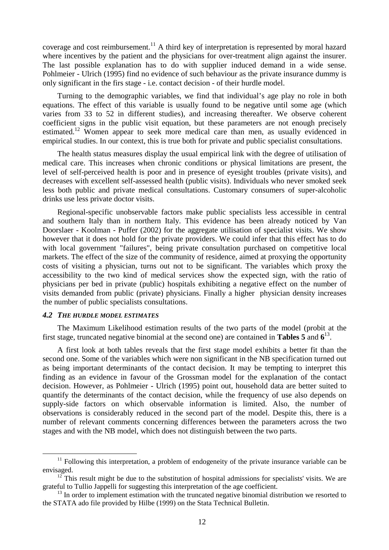coverage and cost reimbursement.<sup>11</sup> A third key of interpretation is represented by moral hazard where incentives by the patient and the physicians for over-treatment align against the insurer. The last possible explanation has to do with supplier induced demand in a wide sense. Pohlmeier - Ulrich (1995) find no evidence of such behaviour as the private insurance dummy is only significant in the firs stage - i.e. contact decision - of their hurdle model.

Turning to the demographic variables, we find that individual's age play no role in both equations. The effect of this variable is usually found to be negative until some age (which varies from 33 to 52 in different studies), and increasing thereafter. We observe coherent coefficient signs in the public visit equation, but these parameters are not enough precisely estimated.<sup>12</sup> Women appear to seek more medical care than men, as usually evidenced in empirical studies. In our context, this is true both for private and public specialist consultations.

The health status measures display the usual empirical link with the degree of utilisation of medical care. This increases when chronic conditions or physical limitations are present, the level of self-perceived health is poor and in presence of eyesight troubles (private visits), and decreases with excellent self-assessed health (public visits). Individuals who never smoked seek less both public and private medical consultations. Customary consumers of super-alcoholic drinks use less private doctor visits.

Regional-specific unobservable factors make public specialists less accessible in central and southern Italy than in northern Italy. This evidence has been already noticed by Van Doorslaer - Koolman - Puffer (2002) for the aggregate utilisation of specialist visits. We show however that it does not hold for the private providers. We could infer that this effect has to do with local government "failures", being private consultation purchased on competitive local markets. The effect of the size of the community of residence, aimed at proxying the opportunity costs of visiting a physician, turns out not to be significant. The variables which proxy the accessibility to the two kind of medical services show the expected sign, with the ratio of physicians per bed in private (public) hospitals exhibiting a negative effect on the number of visits demanded from public (private) physicians. Finally a higher physician density increases the number of public specialists consultations.

#### *4.2 THE HURDLE MODEL ESTIMATES*

 $\overline{a}$ 

The Maximum Likelihood estimation results of the two parts of the model (probit at the first stage, truncated negative binomial at the second one) are contained in **Tables 5** and **6**<sup>13</sup> .

A first look at both tables reveals that the first stage model exhibits a better fit than the second one. Some of the variables which were non significant in the NB specification turned out as being important determinants of the contact decision. It may be tempting to interpret this finding as an evidence in favour of the Grossman model for the explanation of the contact decision. However, as Pohlmeier - Ulrich (1995) point out, household data are better suited to quantify the determinants of the contact decision, while the frequency of use also depends on supply-side factors on which observable information is limited. Also, the number of observations is considerably reduced in the second part of the model. Despite this, there is a number of relevant comments concerning differences between the parameters across the two stages and with the NB model, which does not distinguish between the two parts.

 $11$  Following this interpretation, a problem of endogeneity of the private insurance variable can be envisaged.

 $12$ <sup>12</sup> This result might be due to the substitution of hospital admissions for specialists' visits. We are grateful to Tullio Jappelli for suggesting this interpretation of the age coefficient.

 $13$  In order to implement estimation with the truncated negative binomial distribution we resorted to the STATA ado file provided by Hilbe (1999) on the Stata Technical Bulletin.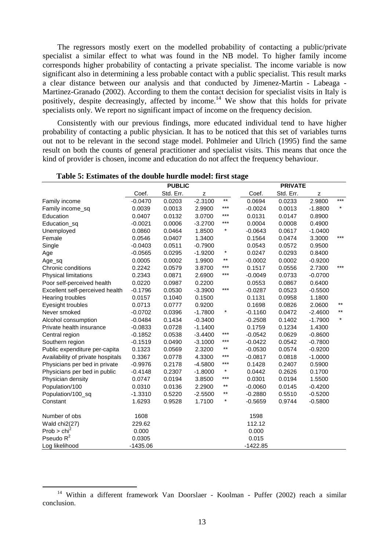The regressors mostly exert on the modelled probability of contacting a public/private specialist a similar effect to what was found in the NB model. To higher family income corresponds higher probability of contacting a private specialist. The income variable is now significant also in determining a less probable contact with a public specialist. This result marks a clear distance between our analysis and that conducted by Jimenez-Martin - Labeaga - Martinez-Granado (2002). According to them the contact decision for specialist visits in Italy is positively, despite decreasingly, affected by income.<sup>14</sup> We show that this holds for private specialists only. We report no significant impact of income on the frequency decision.

Consistently with our previous findings, more educated individual tend to have higher probability of contacting a public physician. It has to be noticed that this set of variables turns out not to be relevant in the second stage model. Pohlmeier and Ulrich (1995) find the same result on both the counts of general practitioner and specialist visits. This means that once the kind of provider is chosen, income and education do not affect the frequency behaviour.

|                                   | <b>PUBLIC</b> |           |           |              | <b>PRIVATE</b> |           |           |         |
|-----------------------------------|---------------|-----------|-----------|--------------|----------------|-----------|-----------|---------|
|                                   | Coef.         | Std. Err. | z         |              | Coef.          | Std. Err. | z         |         |
| Family income                     | $-0.0470$     | 0.0203    | $-2.3100$ | $\star\star$ | 0.0694         | 0.0233    | 2.9800    | $***$   |
| Family income_sq                  | 0.0039        | 0.0013    | 2.9900    | $***$        | $-0.0024$      | 0.0013    | $-1.8800$ | $\star$ |
| Education                         | 0.0407        | 0.0132    | 3.0700    | $***$        | 0.0131         | 0.0147    | 0.8900    |         |
| Education_sq                      | $-0.0021$     | 0.0006    | $-3.2700$ | $***$        | 0.0004         | 0.0008    | 0.4900    |         |
| Unemployed                        | 0.0860        | 0.0464    | 1.8500    | $\star$      | $-0.0643$      | 0.0617    | $-1.0400$ |         |
| Female                            | 0.0546        | 0.0407    | 1.3400    |              | 0.1564         | 0.0474    | 3.3000    | ***     |
| Single                            | $-0.0403$     | 0.0511    | $-0.7900$ |              | 0.0543         | 0.0572    | 0.9500    |         |
| Age                               | $-0.0565$     | 0.0295    | $-1.9200$ | $\star$      | 0.0247         | 0.0293    | 0.8400    |         |
| Age_sq                            | 0.0005        | 0.0002    | 1.9900    | $***$        | $-0.0002$      | 0.0002    | $-0.9200$ |         |
| Chronic conditions                | 0.2242        | 0.0579    | 3.8700    | $***$        | 0.1517         | 0.0556    | 2.7300    | $***$   |
| Physical limitations              | 0.2343        | 0.0871    | 2.6900    | $***$        | $-0.0049$      | 0.0733    | $-0.0700$ |         |
| Poor self-perceived health        | 0.0220        | 0.0987    | 0.2200    |              | 0.0553         | 0.0867    | 0.6400    |         |
| Excellent self-perceived health   | $-0.1796$     | 0.0530    | $-3.3900$ | $***$        | $-0.0287$      | 0.0523    | $-0.5500$ |         |
| Hearing troubles                  | 0.0157        | 0.1040    | 0.1500    |              | 0.1131         | 0.0958    | 1.1800    |         |
| Eyesight troubles                 | 0.0713        | 0.0777    | 0.9200    |              | 0.1698         | 0.0826    | 2.0600    | $***$   |
| Never smoked                      | $-0.0702$     | 0.0396    | $-1.7800$ | $\ast$       | $-0.1160$      | 0.0472    | $-2.4600$ | $***$   |
| Alcohol consumption               | $-0.0484$     | 0.1434    | $-0.3400$ |              | $-0.2508$      | 0.1402    | $-1.7900$ | $\star$ |
| Private health insurance          | $-0.0833$     | 0.0728    | $-1.1400$ |              | 0.1759         | 0.1234    | 1.4300    |         |
| Central region                    | $-0.1852$     | 0.0538    | $-3.4400$ | ***          | $-0.0542$      | 0.0629    | $-0.8600$ |         |
| Southern region                   | $-0.1519$     | 0.0490    | $-3.1000$ | $***$        | $-0.0422$      | 0.0542    | $-0.7800$ |         |
| Public expenditure per-capita     | 0.1323        | 0.0569    | 2.3200    | $***$        | $-0.0530$      | 0.0574    | $-0.9200$ |         |
| Availability of private hospitals | 0.3367        | 0.0778    | 4.3300    | $***$        | $-0.0817$      | 0.0818    | $-1.0000$ |         |
| Physicians per bed in private     | $-0.9976$     | 0.2178    | $-4.5800$ | $***$        | 0.1428         | 0.2407    | 0.5900    |         |
| Physicians per bed in public      | $-0.4148$     | 0.2307    | $-1.8000$ | $\star$      | 0.0442         | 0.2626    | 0.1700    |         |
| Physician density                 | 0.0747        | 0.0194    | 3.8500    | $***$        | 0.0301         | 0.0194    | 1.5500    |         |
| Population/100                    | 0.0310        | 0.0136    | 2.2900    | $***$        | $-0.0060$      | 0.0145    | $-0.4200$ |         |
| Population/100_sq                 | $-1.3310$     | 0.5220    | $-2.5500$ | $***$        | $-0.2880$      | 0.5510    | $-0.5200$ |         |
| Constant                          | 1.6293        | 0.9528    | 1.7100    | $\star$      | $-0.5659$      | 0.9744    | $-0.5800$ |         |
| Number of obs                     | 1608          |           |           |              | 1598           |           |           |         |
| Wald chi2(27)                     | 229.62        |           |           |              | 112.12         |           |           |         |
| Prob > chi <sup>2</sup>           | 0.000         |           |           |              | 0.000          |           |           |         |
| Pseudo $R^2$                      | 0.0305        |           |           |              | 0.015          |           |           |         |
| Log likelihood                    | $-1435.06$    |           |           |              | $-1422.85$     |           |           |         |

**Table 5: Estimates of the double hurdle model: first stage**

 $\overline{a}$ 

<sup>&</sup>lt;sup>14</sup> Within a different framework Van Doorslaer - Koolman - Puffer (2002) reach a similar conclusion.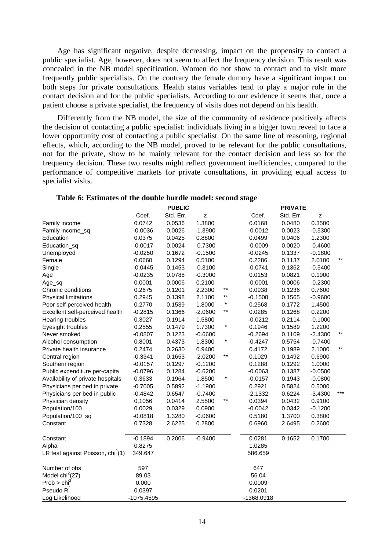Age has significant negative, despite decreasing, impact on the propensity to contact a public specialist. Age, however, does not seem to affect the frequency decision. This result was concealed in the NB model specification. Women do not show to contact and to visit more frequently public specialists. On the contrary the female dummy have a significant impact on both steps for private consultations. Health status variables tend to play a major role in the contact decision and for the public specialists. According to our evidence it seems that, once a patient choose a private specialist, the frequency of visits does not depend on his health.

Differently from the NB model, the size of the community of residence positively affects the decision of contacting a public specialist: individuals living in a bigger town reveal to face a lower opportunity cost of contacting a public specialist. On the same line of reasoning, regional effects, which, according to the NB model, proved to be relevant for the public consultations, not for the private, show to be mainly relevant for the contact decision and less so for the frequency decision. These two results might reflect government inefficiencies, compared to the performance of competitive markets for private consultations, in providing equal access to specialist visits.

|                                               |            | <b>PUBLIC</b> |           |         |            | <b>PRIVATE</b> |             |       |
|-----------------------------------------------|------------|---------------|-----------|---------|------------|----------------|-------------|-------|
|                                               | Coef.      | Std. Err.     | Z         |         | Coef.      | Std. Err.      | $\mathsf z$ |       |
| Family income                                 | 0.0742     | 0.0536        | 1.3800    |         | 0.0168     | 0.0480         | 0.3500      |       |
| Family income_sq                              | $-0.0036$  | 0.0026        | $-1.3900$ |         | $-0.0012$  | 0.0023         | $-0.5300$   |       |
| Education                                     | 0.0375     | 0.0425        | 0.8800    |         | 0.0499     | 0.0406         | 1.2300      |       |
| Education_sq                                  | $-0.0017$  | 0.0024        | $-0.7300$ |         | $-0.0009$  | 0.0020         | $-0.4600$   |       |
| Unemployed                                    | $-0.0250$  | 0.1672        | $-0.1500$ |         | $-0.0245$  | 0.1337         | $-0.1800$   |       |
| Female                                        | 0.0660     | 0.1294        | 0.5100    |         | 0.2286     | 0.1137         | 2.0100      | $***$ |
| Single                                        | $-0.0445$  | 0.1453        | $-0.3100$ |         | $-0.0741$  | 0.1362         | $-0.5400$   |       |
| Age                                           | $-0.0235$  | 0.0788        | $-0.3000$ |         | 0.0153     | 0.0821         | 0.1900      |       |
| Age_sq                                        | 0.0001     | 0.0006        | 0.2100    |         | $-0.0001$  | 0.0006         | $-0.2300$   |       |
| Chronic conditions                            | 0.2675     | 0.1201        | 2.2300    | $***$   | 0.0938     | 0.1236         | 0.7600      |       |
| Physical limitations                          | 0.2945     | 0.1398        | 2.1100    | $***$   | $-0.1508$  | 0.1565         | $-0.9600$   |       |
| Poor self-perceived health                    | 0.2770     | 0.1539        | 1.8000    | $\ast$  | 0.2568     | 0.1772         | 1.4500      |       |
| Excellent self-perceived health               | $-0.2815$  | 0.1366        | $-2.0600$ | $***$   | 0.0285     | 0.1268         | 0.2200      |       |
| Hearing troubles                              | 0.3027     | 0.1914        | 1.5800    |         | $-0.0212$  | 0.2114         | $-0.1000$   |       |
| Eyesight troubles                             | 0.2555     | 0.1479        | 1.7300    | $\star$ | 0.1946     | 0.1589         | 1.2200      |       |
| Never smoked                                  | $-0.0807$  | 0.1223        | $-0.6600$ |         | $-0.2694$  | 0.1109         | $-2.4300$   | $***$ |
| Alcohol consumption                           | 0.8001     | 0.4373        | 1.8300    | $\star$ | $-0.4247$  | 0.5754         | $-0.7400$   |       |
| Private health insurance                      | 0.2474     | 0.2630        | 0.9400    |         | 0.4172     | 0.1989         | 2.1000      | $***$ |
| Central region                                | $-0.3341$  | 0.1653        | $-2.0200$ | $***$   | 0.1029     | 0.1492         | 0.6900      |       |
| Southern region                               | $-0.0157$  | 0.1297        | $-0.1200$ |         | 0.1288     | 0.1292         | 1.0000      |       |
| Public expenditure per-capita                 | $-0.0796$  | 0.1284        | $-0.6200$ |         | $-0.0063$  | 0.1387         | $-0.0500$   |       |
| Availability of private hospitals             | 0.3633     | 0.1964        | 1.8500    | $\ast$  | $-0.0157$  | 0.1943         | $-0.0800$   |       |
| Physicians per bed in private                 | $-0.7005$  | 0.5892        | $-1.1900$ |         | 0.2921     | 0.5824         | 0.5000      |       |
| Physicians per bed in public                  | $-0.4842$  | 0.6547        | $-0.7400$ |         | $-2.1332$  | 0.6224         | $-3.4300$   | ***   |
| Physician density                             | 0.1056     | 0.0414        | 2.5500    | $***$   | 0.0394     | 0.0432         | 0.9100      |       |
| Population/100                                | 0.0029     | 0.0329        | 0.0900    |         | $-0.0042$  | 0.0342         | $-0.1200$   |       |
| Population/100_sq                             | $-0.0818$  | 1.3280        | $-0.0600$ |         | 0.5180     | 1.3700         | 0.3800      |       |
| Constant                                      | 0.7328     | 2.6225        | 0.2800    |         | 0.6960     | 2.6495         | 0.2600      |       |
| Constant                                      | $-0.1894$  | 0.2006        | $-0.9400$ |         | 0.0281     | 0.1652         | 0.1700      |       |
| Alpha                                         | 0.8275     |               |           |         | 1.0285     |                |             |       |
| LR test against Poisson, chi <sup>2</sup> (1) | 349.647    |               |           |         | 586.659    |                |             |       |
| Number of obs                                 | 597        |               |           |         | 647        |                |             |       |
| Model $\text{chi}^2(27)$                      | 89.03      |               |           |         | 56.04      |                |             |       |
| Prob > chi <sup>2</sup>                       | 0.000      |               |           |         | 0.0009     |                |             |       |
| Pseudo R <sup>2</sup>                         | 0.0397     |               |           |         | 0.0201     |                |             |       |
| Log Likelihood                                | -1075.4595 |               |           |         | -1368.0918 |                |             |       |

**Table 6: Estimates of the double hurdle model: second stage**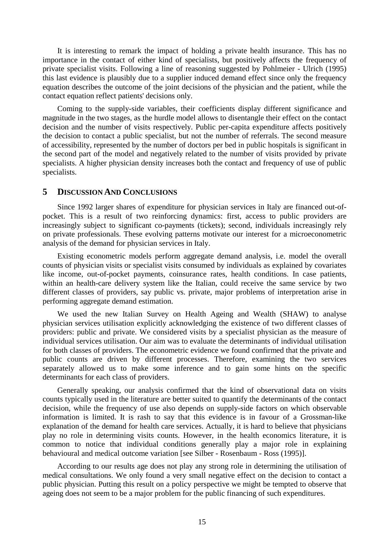It is interesting to remark the impact of holding a private health insurance. This has no importance in the contact of either kind of specialists, but positively affects the frequency of private specialist visits. Following a line of reasoning suggested by Pohlmeier - Ulrich (1995) this last evidence is plausibly due to a supplier induced demand effect since only the frequency equation describes the outcome of the joint decisions of the physician and the patient, while the contact equation reflect patients' decisions only.

Coming to the supply-side variables, their coefficients display different significance and magnitude in the two stages, as the hurdle model allows to disentangle their effect on the contact decision and the number of visits respectively. Public per-capita expenditure affects positively the decision to contact a public specialist, but not the number of referrals. The second measure of accessibility, represented by the number of doctors per bed in public hospitals is significant in the second part of the model and negatively related to the number of visits provided by private specialists. A higher physician density increases both the contact and frequency of use of public specialists.

# **5 DISCUSSION AND CONCLUSIONS**

Since 1992 larger shares of expenditure for physician services in Italy are financed out-ofpocket. This is a result of two reinforcing dynamics: first, access to public providers are increasingly subject to significant co-payments (tickets); second, individuals increasingly rely on private professionals. These evolving patterns motivate our interest for a microeconometric analysis of the demand for physician services in Italy.

Existing econometric models perform aggregate demand analysis, i.e. model the overall counts of physician visits or specialist visits consumed by individuals as explained by covariates like income, out-of-pocket payments, coinsurance rates, health conditions. In case patients, within an health-care delivery system like the Italian, could receive the same service by two different classes of providers, say public vs. private, major problems of interpretation arise in performing aggregate demand estimation.

We used the new Italian Survey on Health Ageing and Wealth (SHAW) to analyse physician services utilisation explicitly acknowledging the existence of two different classes of providers: public and private. We considered visits by a specialist physician as the measure of individual services utilisation. Our aim was to evaluate the determinants of individual utilisation for both classes of providers. The econometric evidence we found confirmed that the private and public counts are driven by different processes. Therefore, examining the two services separately allowed us to make some inference and to gain some hints on the specific determinants for each class of providers.

Generally speaking, our analysis confirmed that the kind of observational data on visits counts typically used in the literature are better suited to quantify the determinants of the contact decision, while the frequency of use also depends on supply-side factors on which observable information is limited. It is rash to say that this evidence is in favour of a Grossman-like explanation of the demand for health care services. Actually, it is hard to believe that physicians play no role in determining visits counts. However, in the health economics literature, it is common to notice that individual conditions generally play a major role in explaining behavioural and medical outcome variation [see Silber - Rosenbaum - Ross (1995)].

According to our results age does not play any strong role in determining the utilisation of medical consultations. We only found a very small negative effect on the decision to contact a public physician. Putting this result on a policy perspective we might be tempted to observe that ageing does not seem to be a major problem for the public financing of such expenditures.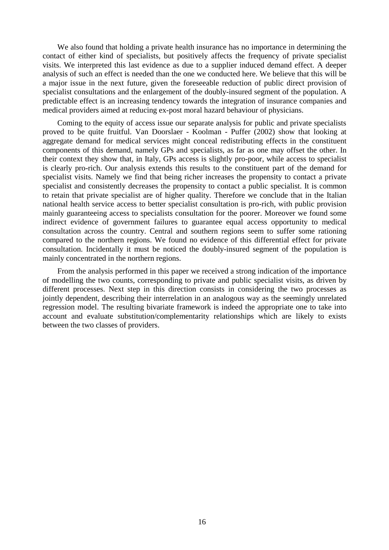We also found that holding a private health insurance has no importance in determining the contact of either kind of specialists, but positively affects the frequency of private specialist visits. We interpreted this last evidence as due to a supplier induced demand effect. A deeper analysis of such an effect is needed than the one we conducted here. We believe that this will be a major issue in the next future, given the foreseeable reduction of public direct provision of specialist consultations and the enlargement of the doubly-insured segment of the population. A predictable effect is an increasing tendency towards the integration of insurance companies and medical providers aimed at reducing ex-post moral hazard behaviour of physicians.

Coming to the equity of access issue our separate analysis for public and private specialists proved to be quite fruitful. Van Doorslaer - Koolman - Puffer (2002) show that looking at aggregate demand for medical services might conceal redistributing effects in the constituent components of this demand, namely GPs and specialists, as far as one may offset the other. In their context they show that, in Italy, GPs access is slightly pro-poor, while access to specialist is clearly pro-rich. Our analysis extends this results to the constituent part of the demand for specialist visits. Namely we find that being richer increases the propensity to contact a private specialist and consistently decreases the propensity to contact a public specialist. It is common to retain that private specialist are of higher quality. Therefore we conclude that in the Italian national health service access to better specialist consultation is pro-rich, with public provision mainly guaranteeing access to specialists consultation for the poorer. Moreover we found some indirect evidence of government failures to guarantee equal access opportunity to medical consultation across the country. Central and southern regions seem to suffer some rationing compared to the northern regions. We found no evidence of this differential effect for private consultation. Incidentally it must be noticed the doubly-insured segment of the population is mainly concentrated in the northern regions.

From the analysis performed in this paper we received a strong indication of the importance of modelling the two counts, corresponding to private and public specialist visits, as driven by different processes. Next step in this direction consists in considering the two processes as jointly dependent, describing their interrelation in an analogous way as the seemingly unrelated regression model. The resulting bivariate framework is indeed the appropriate one to take into account and evaluate substitution/complementarity relationships which are likely to exists between the two classes of providers.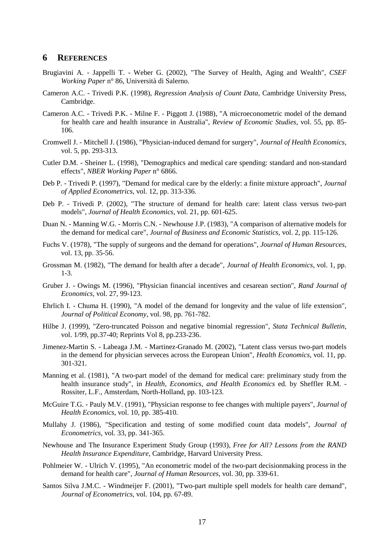# **6 REFERENCES**

- Brugiavini A. Jappelli T. Weber G. (2002), "The Survey of Health, Aging and Wealth", *CSEF Working Paper* n° 86, Università di Salerno.
- Cameron A.C. Trivedi P.K. (1998), *Regression Analysis of Count Data*, Cambridge University Press, Cambridge.
- Cameron A.C. Trivedi P.K. Milne F. Piggott J. (1988), "A microeconometric model of the demand for health care and health insurance in Australia", *Review of Economic Studies*, vol. 55, pp. 85- 106.
- Cromwell J. Mitchell J. (1986), "Physician-induced demand for surgery", *Journal of Health Economics*, vol. 5, pp. 293-313.
- Cutler D.M. Sheiner L. (1998), "Demographics and medical care spending: standard and non-standard effects", *NBER Working Paper* n° 6866.
- Deb P. Trivedi P. (1997), "Demand for medical care by the elderly: a finite mixture approach", *Journal of Applied Econometrics*, vol. 12, pp. 313-336.
- Deb P. Trivedi P. (2002), "The structure of demand for health care: latent class versus two-part models", *Journal of Health Economics*, vol. 21, pp. 601-625.
- Duan N. Manning W.G. Morris C.N. Newhouse J.P. (1983), "A comparison of alternative models for the demand for medical care", *Journal of Business and Economic Statistics*, vol. 2, pp. 115-126.
- Fuchs V. (1978), "The supply of surgeons and the demand for operations", *Journal of Human Resources*, vol. 13, pp. 35-56.
- Grossman M. (1982), "The demand for health after a decade", *Journal of Health Economics*, vol. 1, pp. 1-3.
- Gruber J. Owings M. (1996), "Physician financial incentives and cesarean section", *Rand Journal of Economics*, vol. 27, 99-123.
- Ehrlich I. Chuma H. (1990), "A model of the demand for longevity and the value of life extension", *Journal of Political Economy*, vol. 98, pp. 761-782.
- Hilbe J. (1999), "Zero-truncated Poisson and negative binomial regression", *Stata Technical Bulletin*, vol. 1/99, pp.37-40; Reprints Vol 8, pp.233-236.
- Jimenez-Martin S. Labeaga J.M. Martinez-Granado M. (2002), "Latent class versus two-part models in the demend for physician serveces across the European Union", *Health Economics*, vol. 11, pp. 301-321.
- Manning et al. (1981), "A two-part model of the demand for medical care: preliminary study from the health insurance study", in *Health, Economics, and Health Economics* ed. by Sheffler R.M. - Rossiter, L.F., Amsterdam, North-Holland, pp. 103-123.
- McGuire T.G. Pauly M.V. (1991), "Physician response to fee changes with multiple payers", *Journal of Health Economics*, vol. 10, pp. 385-410.
- Mullahy J. (1986), "Specification and testing of some modified count data models", *Journal of Econometrics*, vol. 33, pp. 341-365.
- Newhouse and The Insurance Experiment Study Group (1993), *Free for All? Lessons from the RAND Health Insurance Expenditure*, Cambridge, Harvard University Press.
- Pohlmeier W. Ulrich V. (1995), "An econometric model of the two-part decisionmaking process in the demand for health care", *Journal of Human Resources*, vol. 30, pp. 339-61.
- Santos Silva J.M.C. Windmeijer F. (2001), "Two-part multiple spell models for health care demand", *Journal of Econometrics*, vol. 104, pp. 67-89.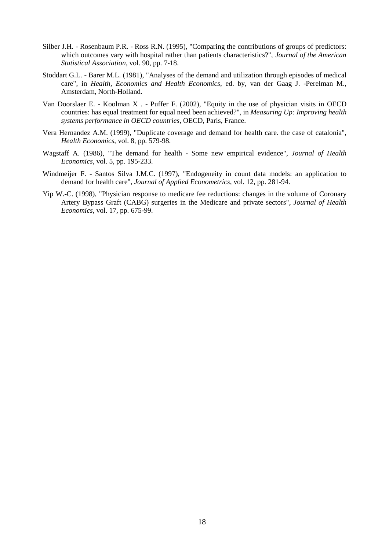- Silber J.H. Rosenbaum P.R. Ross R.N. (1995), "Comparing the contributions of groups of predictors: which outcomes vary with hospital rather than patients characteristics?", *Journal of the American Statistical Association*, vol. 90, pp. 7-18.
- Stoddart G.L. Barer M.L. (1981), "Analyses of the demand and utilization through episodes of medical care", in *Health, Economics and Health Economics*, ed. by, van der Gaag J. -Perelman M., Amsterdam, North-Holland.
- Van Doorslaer E. Koolman X . Puffer F. (2002), "Equity in the use of physician visits in OECD countries: has equal treatment for equal need been achieved?", in *Measuring Up: Improving health systems performance in OECD countries*, OECD, Paris, France.
- Vera Hernandez A.M. (1999), "Duplicate coverage and demand for health care. the case of catalonia", *Health Economics*, vol. 8, pp. 579-98.
- Wagstaff A. (1986), "The demand for health Some new empirical evidence", *Journal of Health Economics*, vol. 5, pp. 195-233.
- Windmeijer F. Santos Silva J.M.C. (1997), "Endogeneity in count data models: an application to demand for health care", *Journal of Applied Econometrics*, vol. 12, pp. 281-94.
- Yip W.-C. (1998), "Physician response to medicare fee reductions: changes in the volume of Coronary Artery Bypass Graft (CABG) surgeries in the Medicare and private sectors", *Journal of Health Economics*, vol. 17, pp. 675-99.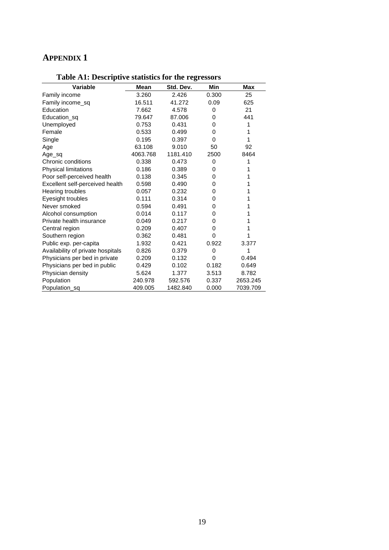# **APPENDIX 1**

| Variable                          | Mean     | Std. Dev. | Min      | Max      |
|-----------------------------------|----------|-----------|----------|----------|
| Family income                     | 3.260    | 2.426     | 0.300    | 25       |
| Family income_sq                  | 16.511   | 41.272    | 0.09     | 625      |
| Education                         | 7.662    | 4.578     | 0        | 21       |
| Education_sq                      | 79.647   | 87.006    | 0        | 441      |
| Unemployed                        | 0.753    | 0.431     | 0        | 1        |
| Female                            | 0.533    | 0.499     | 0        | 1        |
| Single                            | 0.195    | 0.397     | 0        | 1        |
| Age                               | 63.108   | 9.010     | 50       | 92       |
| Age sq                            | 4063.768 | 1181.410  | 2500     | 8464     |
| Chronic conditions                | 0.338    | 0.473     | 0        | 1        |
| Physical limitations              | 0.186    | 0.389     | 0        |          |
| Poor self-perceived health        | 0.138    | 0.345     | 0        | 1        |
| Excellent self-perceived health   | 0.598    | 0.490     | 0        |          |
| Hearing troubles                  | 0.057    | 0.232     | 0        |          |
| Eyesight troubles                 | 0.111    | 0.314     | 0        |          |
| Never smoked                      | 0.594    | 0.491     | 0        |          |
| Alcohol consumption               | 0.014    | 0.117     | 0        | 1        |
| Private health insurance          | 0.049    | 0.217     | 0        |          |
| Central region                    | 0.209    | 0.407     | 0        | 1        |
| Southern region                   | 0.362    | 0.481     | 0        |          |
| Public exp. per-capita            | 1.932    | 0.421     | 0.922    | 3.377    |
| Availability of private hospitals | 0.826    | 0.379     | 0        | 1        |
| Physicians per bed in private     | 0.209    | 0.132     | $\Omega$ | 0.494    |
| Physicians per bed in public      | 0.429    | 0.102     | 0.182    | 0.649    |
| Physician density                 | 5.624    | 1.377     | 3.513    | 8.782    |
| Population                        | 240.978  | 592.576   | 0.337    | 2653.245 |
| Population sq                     | 409.005  | 1482.840  | 0.000    | 7039.709 |

# **Table A1: Descriptive statistics for the regressors**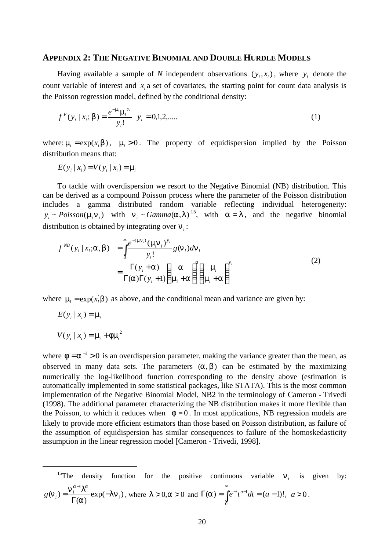#### **APPENDIX 2: THE NEGATIVE BINOMIAL AND DOUBLE HURDLE MODELS**

Having available a sample of *N* independent observations  $(y_i, x_i)$ , where  $y_i$  denote the count variable of interest and  $x_i$  a set of covariates, the starting point for count data analysis is the Poisson regression model, defined by the conditional density:

$$
f^{P}(y_i | x_i; \mathbf{b}) = \frac{e^{-m_i} \mathbf{m}_i^{y_i}}{y_i!} \quad y_i = 0, 1, 2, \dots \tag{1}
$$

where:  $\mathbf{m}_i = \exp(x_i \mathbf{b})$ ,  $\mathbf{m}_i > 0$ . The property of equidispersion implied by the Poisson distribution means that:

$$
E(y_i | x_i) = V(y_i | x_i) = \mathbf{m}
$$

To tackle with overdispersion we resort to the Negative Binomial (NB) distribution. This can be derived as a compound Poisson process where the parameter of the Poisson distribution includes a gamma distributed random variable reflecting individual heterogeneity:  $y_i \sim Poisson(\mathbf{m}_i \mathbf{n}_i)$  with  $\mathbf{n}_i \sim Gamma(\mathbf{a}, \mathbf{l})^{15}$ , with  $\mathbf{a} = \mathbf{l}$ , and the negative binomial distribution is obtained by integrating over *n<sup>i</sup>* :

$$
f^{NB}(y_i | x_i; \mathbf{a}, \mathbf{b}) = \int_0^\infty \frac{e^{-(\mathbf{m} \mathbf{n}_i)} (\mathbf{m} \mathbf{n}_i)^{y_i}}{y_i!} g(\mathbf{n}_i) d\mathbf{n}_i
$$
  
= 
$$
\frac{\Gamma(y_i + \mathbf{a})}{\Gamma(\mathbf{a})\Gamma(y_i + 1)} \left(\frac{\mathbf{a}}{\mathbf{m}_i + \mathbf{a}}\right)^{\mathbf{a}} \left(\frac{\mathbf{m}_i}{\mathbf{m}_i + \mathbf{a}}\right)^{y_i}
$$
(2)

where  $\mathbf{m}_i = \exp(x_i \mathbf{b})$  as above, and the conditional mean and variance are given by:

$$
E(y_i \mid x_i) = m_i
$$

 $\overline{a}$ 

$$
V(y_i | x_i) = m_i + fm_i^2
$$

where  $\mathbf{f} = \mathbf{a}^{-1} > 0$  is an overdispersion parameter, making the variance greater than the mean, as observed in many data sets. The parameters  $(a, b)$  can be estimated by the maximizing numerically the log-likelihood function corresponding to the density above (estimation is automatically implemented in some statistical packages, like STATA). This is the most common implementation of the Negative Binomial Model, NB2 in the terminology of Cameron - Trivedi (1998). The additional parameter characterizing the NB distribution makes it more flexible than the Poisson, to which it reduces when  $f = 0$ . In most applications, NB regression models are likely to provide more efficient estimators than those based on Poisson distribution, as failure of the assumption of equidispersion has similar consequences to failure of the homoskedasticity assumption in the linear regression model [Cameron - Trivedi, 1998].

<sup>15</sup>The density function for the positive continuous variable 
$$
\mathbf{n}_i
$$
 is given by:  

$$
g(\mathbf{n}_i) = \frac{\mathbf{n}_i^{a-1} \mathbf{l}^a}{\Gamma(\mathbf{a})} \exp(-\mathbf{l} \mathbf{n}_i), \text{ where } \mathbf{l} > 0, \mathbf{a} > 0 \text{ and } \Gamma(\mathbf{a}) = \int_0^{\infty} e^{-t} t^{a-1} dt = (a-1)!, \ a > 0.
$$